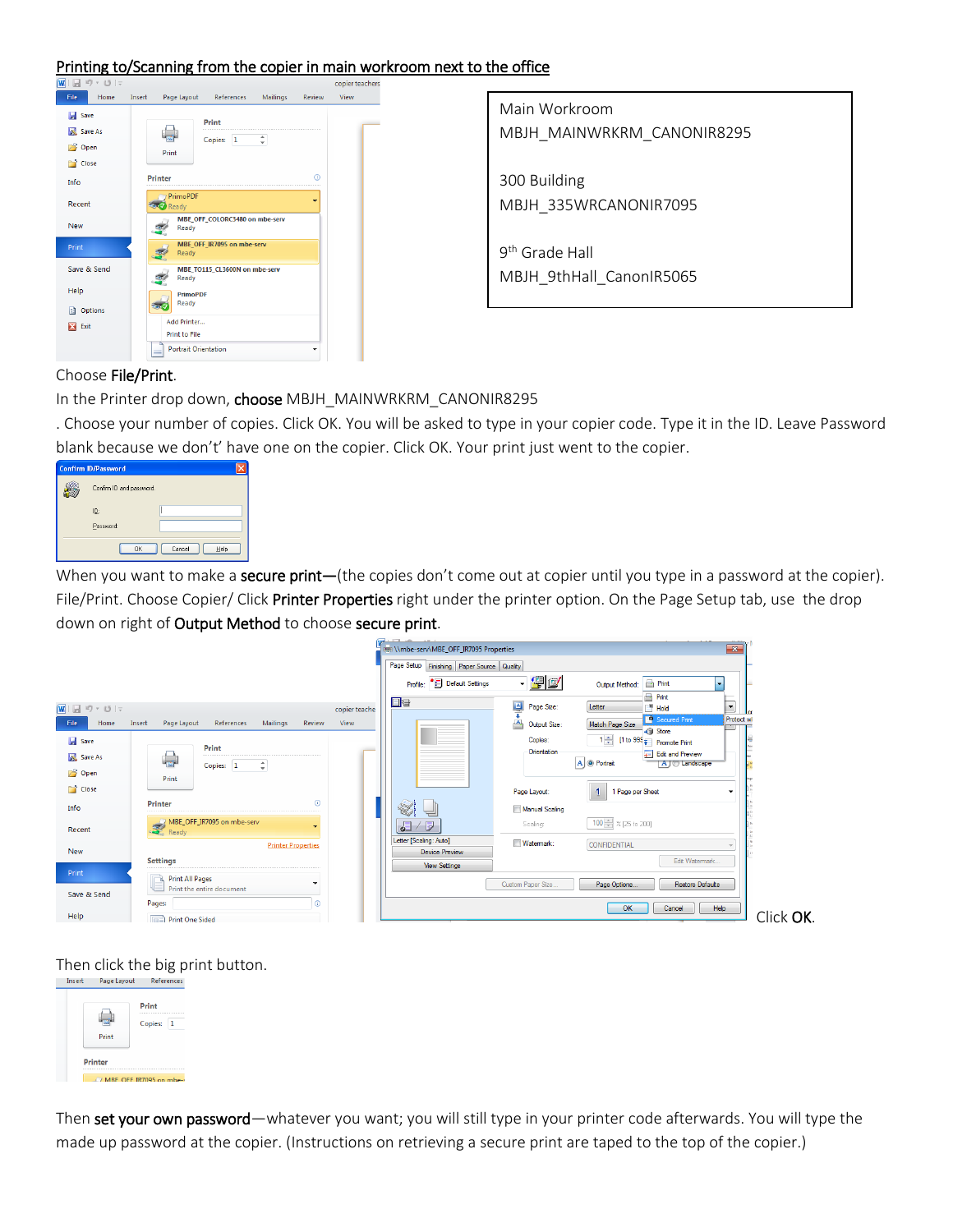#### Printing to/Scanning from the copier in main workroom next to the office



Main Workroom MBJH\_MAINWRKRM\_CANONIR8295

300 Building MBJH\_335WRCANONIR7095

9th Grade Hall MBJH\_9thHall\_CanonIR5065

## Choose File/Print.

In the Printer drop down, choose MBJH\_MAINWRKRM\_CANONIR8295

. Choose your number of copies. Click OK. You will be asked to type in your copier code. Type it in the ID. Leave Password blank because we don't' have one on the copier. Click OK. Your print just went to the copier.

| <b>Confirm ID/Password</b> |                |
|----------------------------|----------------|
| Confirm ID and password.   |                |
| ID:                        |                |
| Password:                  |                |
| 0K                         | Cancel<br>Help |

When you want to make a secure print—(the copies don't come out at copier until you type in a password at the copier). File/Print. Choose Copier/ Click Printer Properties right under the printer option. On the Page Setup tab, use the drop down on right of Output Method to choose secure print.



Then click the big print button.

| Print          | Print<br>Copies:<br>1 |
|----------------|-----------------------|
| <b>Printer</b> |                       |

Then set your own password—whatever you want; you will still type in your printer code afterwards. You will type the made up password at the copier. (Instructions on retrieving a secure print are taped to the top of the copier.)